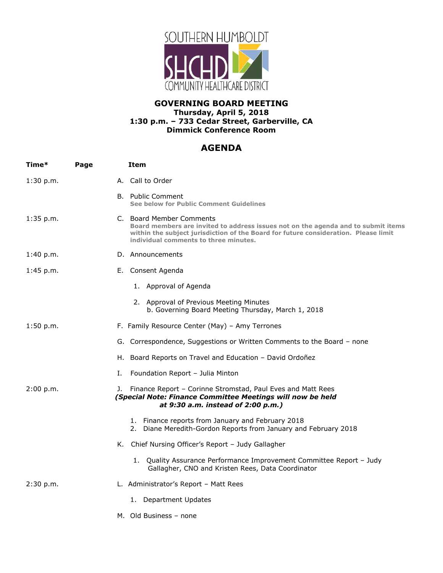

## **GOVERNING BOARD MEETING Thursday, April 5, 2018 1:30 p.m. – 733 Cedar Street, Garberville, CA Dimmick Conference Room**

## **AGENDA**

| Time*     | Page | <b>Item</b>                                                                                                                                                                                                                                   |
|-----------|------|-----------------------------------------------------------------------------------------------------------------------------------------------------------------------------------------------------------------------------------------------|
| 1:30 p.m. |      | A. Call to Order                                                                                                                                                                                                                              |
|           |      | <b>B.</b> Public Comment<br>See below for Public Comment Guidelines                                                                                                                                                                           |
| 1:35 p.m. |      | C. Board Member Comments<br>Board members are invited to address issues not on the agenda and to submit items<br>within the subject jurisdiction of the Board for future consideration. Please limit<br>individual comments to three minutes. |
| 1:40 p.m. |      | D. Announcements                                                                                                                                                                                                                              |
| 1:45 p.m. |      | E. Consent Agenda                                                                                                                                                                                                                             |
|           |      | 1. Approval of Agenda                                                                                                                                                                                                                         |
|           |      | 2. Approval of Previous Meeting Minutes<br>b. Governing Board Meeting Thursday, March 1, 2018                                                                                                                                                 |
| 1:50 p.m. |      | F. Family Resource Center (May) - Amy Terrones                                                                                                                                                                                                |
|           |      | G. Correspondence, Suggestions or Written Comments to the Board - none                                                                                                                                                                        |
|           |      | H. Board Reports on Travel and Education - David Ordoñez                                                                                                                                                                                      |
|           | Ι.   | Foundation Report - Julia Minton                                                                                                                                                                                                              |
| 2:00 p.m. | J.   | Finance Report - Corinne Stromstad, Paul Eves and Matt Rees<br>(Special Note: Finance Committee Meetings will now be held<br>at 9:30 a.m. instead of 2:00 p.m.)                                                                               |
|           |      | 1. Finance reports from January and February 2018<br>2. Diane Meredith-Gordon Reports from January and February 2018                                                                                                                          |
|           |      | K. Chief Nursing Officer's Report - Judy Gallagher                                                                                                                                                                                            |
|           |      | 1. Quality Assurance Performance Improvement Committee Report - Judy<br>Gallagher, CNO and Kristen Rees, Data Coordinator                                                                                                                     |
| 2:30 p.m. |      | L. Administrator's Report - Matt Rees                                                                                                                                                                                                         |
|           |      | 1. Department Updates                                                                                                                                                                                                                         |
|           |      |                                                                                                                                                                                                                                               |

M. Old Business – none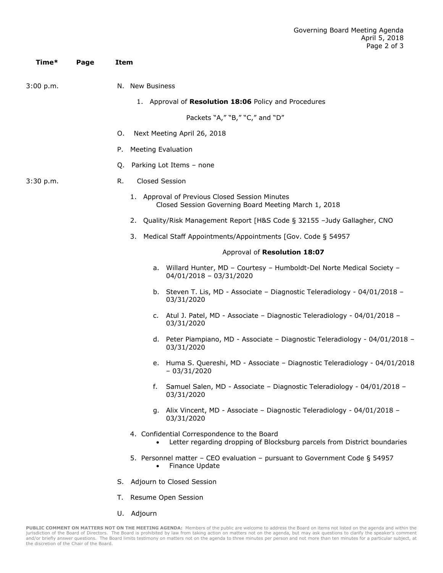| Time*     | Page | Item                                                                                                                                 |
|-----------|------|--------------------------------------------------------------------------------------------------------------------------------------|
| 3:00 p.m. |      | N. New Business                                                                                                                      |
|           |      | 1. Approval of Resolution 18:06 Policy and Procedures                                                                                |
|           |      | Packets "A," "B," "C," and "D"                                                                                                       |
|           |      | Next Meeting April 26, 2018<br>Ο.                                                                                                    |
|           |      | <b>Meeting Evaluation</b><br>Р.                                                                                                      |
|           |      | Parking Lot Items - none<br>Q.                                                                                                       |
| 3:30 p.m. |      | R.<br>Closed Session                                                                                                                 |
|           |      | 1. Approval of Previous Closed Session Minutes<br>Closed Session Governing Board Meeting March 1, 2018                               |
|           |      | Quality/Risk Management Report [H&S Code § 32155 -Judy Gallagher, CNO<br>2.                                                          |
|           |      | Medical Staff Appointments/Appointments [Gov. Code § 54957<br>3.                                                                     |
|           |      | Approval of Resolution 18:07                                                                                                         |
|           |      | a. Willard Hunter, MD - Courtesy - Humboldt-Del Norte Medical Society -<br>$04/01/2018 - 03/31/2020$                                 |
|           |      | b. Steven T. Lis, MD - Associate - Diagnostic Teleradiology - 04/01/2018 -<br>03/31/2020                                             |
|           |      | c. Atul J. Patel, MD - Associate - Diagnostic Teleradiology - 04/01/2018 -<br>03/31/2020                                             |
|           |      | d. Peter Piampiano, MD - Associate - Diagnostic Teleradiology - 04/01/2018 -<br>03/31/2020                                           |
|           |      | Huma S. Quereshi, MD - Associate - Diagnostic Teleradiology - 04/01/2018<br>е.<br>$-03/31/2020$                                      |
|           |      | Samuel Salen, MD - Associate - Diagnostic Teleradiology - 04/01/2018 -<br>f.<br>03/31/2020                                           |
|           |      | g. Alix Vincent, MD - Associate - Diagnostic Teleradiology - 04/01/2018 -<br>03/31/2020                                              |
|           |      | 4. Confidential Correspondence to the Board<br>Letter regarding dropping of Blocksburg parcels from District boundaries<br>$\bullet$ |
|           |      | 5. Personnel matter - CEO evaluation - pursuant to Government Code § 54957<br>Finance Update                                         |
|           |      | S. Adjourn to Closed Session                                                                                                         |

- T. Resume Open Session
- U. Adjourn

PUBLIC COMMENT ON MATTERS NOT ON THE MEETING AGENDA: Members of the public are welcome to address the Board on items not listed on the agenda and within the<br>jurisdiction of the Board of Directors. The Board is prohibited b